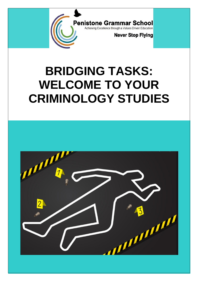

# **BRIDGING TASKS: WELCOME TO YOUR CRIMINOLOGY STUDIES**

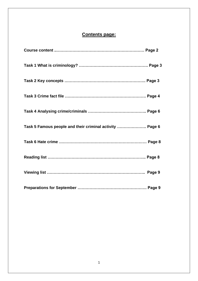# **Contents page:**

| Task 5 Famous people and their criminal activity  Page 6 |  |
|----------------------------------------------------------|--|
|                                                          |  |
|                                                          |  |
|                                                          |  |
|                                                          |  |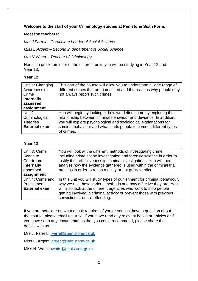#### **Welcome to the start of your Criminology studies at Penistone Sixth Form.**

#### **Meet the teachers:**

*Mrs J Farrell – Curriculum Leader of Social Science* 

*Miss L Argent – Second in department of Social Science* 

*Mrs N Watts – Teacher of Criminology* 

Here is a quick reminder of the different units you will be studying in Year 12 and Year 13.

## **Year 12**

| Unit 1: Changing<br>Awareness of<br>Crime<br><b>Internally</b><br>assessed<br>assignment | This part of the course will allow you to understand a wide range of<br>different crimes that are committed and the reasons why people may<br>not always report such crimes.                                                                                                                    |
|------------------------------------------------------------------------------------------|-------------------------------------------------------------------------------------------------------------------------------------------------------------------------------------------------------------------------------------------------------------------------------------------------|
| Unit $2$ :<br>Criminological<br><b>Theories</b><br><b>External exam</b>                  | You will begin by looking at how we define crime by exploring the<br>relationship between criminal behaviour and deviance. In addition,<br>you will explore psychological and sociological explanations for<br>criminal behaviour and what leads people to commit different types<br>of crimes. |

# **Year 13**

| Unit 3: Crime<br>Scene to<br>Courtroom<br><b>Internally</b><br>assessed<br>assignment | You will look at the different methods of investigating crime,<br>including crime scene investigation and forensic science in order to<br>justify their effectiveness in criminal investigations. You will then<br>analyse how the evidence gathered is used within the criminal trial<br>process in order to reach a guilty or not guilty verdict. |
|---------------------------------------------------------------------------------------|-----------------------------------------------------------------------------------------------------------------------------------------------------------------------------------------------------------------------------------------------------------------------------------------------------------------------------------------------------|
| Unit 4: Crime and<br>Punishment<br><b>External exam</b>                               | In this unit you will study types of punishment for criminal behaviour,<br>why we use these various methods and how effective they are. You<br>will also look at the different agencies who work to stop people<br>getting involved in criminal activity or prevent those with previous<br>convictions from re-offending.                           |

If you are not clear on what a task requires of you or you just have a question about the course, please email us. Also, if you have read any relevant books or articles or if you have seen any documentaries that you could recommend, please share the details with us.

Mrs J. Farrell: [jFarrell@penistone-gs.uk](mailto:jFarrell@penistone-gs.uk)

Miss L. Argent [largent@penistone-gs.uk](mailto:largent@penistone-gs.uk)

Miss N. Watts [nwatts@penistone-gs.uk](mailto:nwatts@penistone-gs.uk)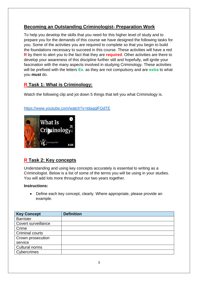# **Becoming an Outstanding Criminologist- Preparation Work**

To help you develop the skills that you need for this higher level of study and to prepare you for the demands of this course we have designed the following tasks for you. Some of the activities you are required to complete so that you begin to build the foundations necessary to succeed in this course. These activities will have a red **R** by them to alert you to the fact that they are **required**. Other activities are there to develop your awareness of this discipline further still and hopefully, will ignite your fascination with the many aspects involved in studying Criminology. These activities will be prefixed with the letters **Ex.** as they are not compulsory and are **extra** to what you **must** do.

# **R Task 1: What is Criminology:**

Watch the following clip and jot down 5 things that tell you what Criminology is.

## <https://www.youtube.com/watch?v=tdaqqlFQdTE>



# **R Task 2: Key concepts**

Understanding and using key concepts accurately is essential to writing as a Criminologist. Below is a list of some of the terms you will be using in your studies. You will add lots more throughout our two years together.

#### **Instructions:**

• Define each key concept, clearly. Where appropriate, please provide an example.

| <b>Key Concept</b>     | <b>Definition</b> |
|------------------------|-------------------|
| <b>Barrister</b>       |                   |
| Covert surveillance    |                   |
| Crime                  |                   |
| <b>Criminal courts</b> |                   |
| Crown prosecution      |                   |
| service                |                   |
| Cultural norms         |                   |
| Cybercrimes            |                   |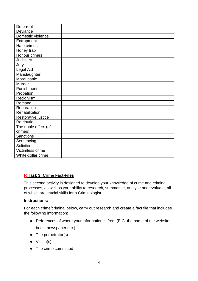| <b>Deterrent</b>      |  |
|-----------------------|--|
|                       |  |
| Deviance              |  |
| Domestic violence     |  |
| Entrapment            |  |
| Hate crimes           |  |
| Honey trap            |  |
| Honour crimes         |  |
| Judiciary             |  |
| Jury                  |  |
| Legal Aid             |  |
| Manslaughter          |  |
| Moral panic           |  |
| Murder                |  |
| Punishment            |  |
| Probation             |  |
| Recidivism            |  |
| Remand                |  |
| Reparation            |  |
| Rehabilitation        |  |
| Restorative justice   |  |
| Retribution           |  |
| The ripple effect (of |  |
| crimes)               |  |
| <b>Sanctions</b>      |  |
| Sentencing            |  |
| Solicitor             |  |
| Victimless crime      |  |
| White-collar crime    |  |

# **R Task 3: Crime Fact-Files**

This second activity is designed to develop your knowledge of crime and criminal processes, as well as your ability to research, summarise, analyse and evaluate, all of which are crucial skills for a Criminologist.

#### **Instructions:**

For each crime/criminal below, carry out research and create a fact file that includes the following information:

● References of where your information is from (E.G. the name of the website,

book, newspaper etc.)

- The perpetrator(s)
- Victim(s)
- The crime committed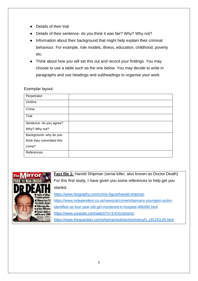- Details of their trial
- Details of their sentence- do you think it was fair? Why? Why not?
- Information about their background that might help explain their criminal behaviour. For example, role models, illness, education, childhood, poverty etc.
- Think about how you will set this out and record your findings. You may choose to use a table such as the one below. You may decide to write in paragraphs and use headings and subheadings to organise your work.

## Exemplar layout:

| Perpetrator               |  |
|---------------------------|--|
| <b>Victims</b>            |  |
| Crime                     |  |
| Trial                     |  |
| Sentence- do you agree?   |  |
| Why? Why not?             |  |
| Background- why do you    |  |
| think they committed this |  |
| crime?                    |  |
| References                |  |



**Fact file 1:** Harold Shipman (serial killer, also known as Doctor Death) For this first study, I have given you some references to help get you started.

<https://www.biography.com/crime-figure/harold-shipman>

[https://www.independent.co.uk/news/uk/crime/shipmans-youngest-victim-](https://www.independent.co.uk/news/uk/crime/shipmans-youngest-victim-identified-as-four-year-old-girl-murdered-in-hospital-488490.html)

[identified-as-four-year-old-girl-murdered-in-hospital-488490.html](https://www.independent.co.uk/news/uk/crime/shipmans-youngest-victim-identified-as-four-year-old-girl-murdered-in-hospital-488490.html)

<https://www.youtube.com/watch?v=3-KVuVjmjmU>

<https://www.theguardian.com/shipman/subsectionmenu/0,,191253,00.html>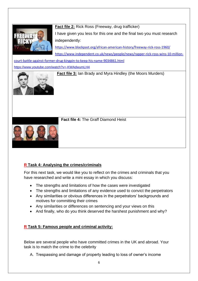

**Fact file 2:** Rick Ross (Freeway, drug trafficker) I have given you less for this one and the final two you must research independently:

<https://www.blackpast.org/african-american-history/freeway-rick-ross-1960/> [https://www.independent.co.uk/news/people/news/rapper-rick-ross-wins-10-million-](https://www.independent.co.uk/news/people/news/rapper-rick-ross-wins-10-million-court-battle-against-former-drug-kingpin-to-keep-his-name-9034861.html)

[court-battle-against-former-drug-kingpin-to-keep-his-name-9034861.html](https://www.independent.co.uk/news/people/news/rapper-rick-ross-wins-10-million-court-battle-against-former-drug-kingpin-to-keep-his-name-9034861.html)

<https://www.youtube.com/watch?v=-KWAdwumLH4>



**Fact file 3:** Ian Brady and Myra Hindley (the Moors Murders)

**Fact file 4:** The Graff Diamond Heist



# **R Task 4: Analysing the crimes/criminals**

For this next task, we would like you to reflect on the crimes and criminals that you have researched and write a mini essay in which you discuss:

- The strengths and limitations of how the cases were investigated
- The strengths and limitations of any evidence used to convict the perpetrators
- Any similarities or obvious differences in the perpetrators' backgrounds and motives for committing their crimes
- Any similarities or differences on sentencing and your views on this
- And finally, who do you think deserved the harshest punishment and why?

# **R Task 5: Famous people and criminal activity:**

Below are several people who have committed crimes in the UK and abroad. Your task is to match the crime to the celebrity

A. Trespassing and damage of property leading to loss of owner's income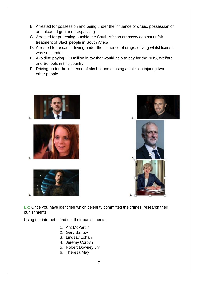- B. Arrested for possession and being under the influence of drugs, possession of an unloaded gun and trespassing
- C. Arrested for protesting outside the South African embassy against unfair treatment of Black people in South Africa
- D. Arrested for assault, driving under the influence of drugs, driving whilst license was suspended
- E. Avoiding paying £20 million in tax that would help to pay for the NHS, Welfare and Schools in this country
- F. Driving under the influence of alcohol and causing a collision injuring two other people



'n.

 $\overline{2}$ 

 $\overline{a}$ 







**Ex:** Once you have identified which celebrity committed the crimes, research their punishments.

Using the internet – find out their punishments:

- 1. Ant McPartlin
- 2. Gary Barlow
- 3. Lindsay Lohan
- 4. Jeremy Corbyn
- 5. Robert Downey Jnr
- 6. Theresa May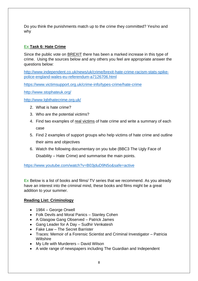Do you think the punishments match up to the crime they committed? Yes/no and why

# **Ex Task 6: Hate Crime**

Since the public vote on BREXIT there has been a marked increase in this type of crime. Using the sources below and any others you feel are appropriate answer the questions below:

[http://www.independent.co.uk/news/uk/crime/brexit-hate-crime-racism-stats-spike](http://www.independent.co.uk/news/uk/crime/brexit-hate-crime-racism-stats-spike-police-england-wales-eu-referendum-a7126706.html)[police-england-wales-eu-referendum-a7126706.html](http://www.independent.co.uk/news/uk/crime/brexit-hate-crime-racism-stats-spike-police-england-wales-eu-referendum-a7126706.html)

<https://www.victimsupport.org.uk/crime-info/types-crime/hate-crime>

<http://www.stophateuk.org/>

<http://www.lgbthatecrime.org.uk/>

- 2. What is hate crime?
- 3. Who are the potential victims?
- 4. Find two examples of real victims of hate crime and write a summary of each case
- 5. Find 2 examples of support groups who help victims of hate crime and outline their aims and objectives
- 6. Watch the following documentary on you tube (BBC3 The Ugly Face of Disability – Hate Crime) and summarise the main points.

<https://www.youtube.com/watch?v=B03jduD9N5o&safe=active>

**Ex** Below is a list of books and films/ TV series that we recommend. As you already have an interest into the criminal mind, these books and films might be a great addition to your summer.

# **Reading List: Criminology**

- 1984 George Orwell
- Folk Devils and Moral Panics Stanley Cohen
- A Glasgow Gang Observed Patrick James
- Gang Leader for A Day Sudhir Venkatesh
- Fake Law The Secret Barrister
- Traces: Memoir of a Forensic Scientist and Criminal Investigator Patricia **Wiltshire**
- My Life with Murderers David Wilson
- A wide range of newspapers including The Guardian and Independent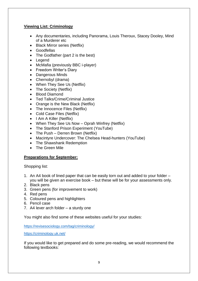## **Viewing List: Criminology**

- Any documentaries, including Panorama, Louis Theroux, Stacey Dooley, Mind of a Murderer etc
- Black Mirror series (Netflix)
- Goodfellas
- The Godfather (part 2 is the best)
- Legend
- McMafia (previously BBC i-player)
- Freedom Writer's Diary
- Dangerous Minds
- Chernobyl (drama)
- When They See Us (Netflix)
- The Society (Netflix)
- Blood Diamond
- Ted Talks/Crime/Criminal Justice
- Orange is the New Black (Netflix)
- The Innocence Files (Netflix)
- Cold Case Files (Netflix)
- I Am A Killer (Netflix)
- When They See Us Now Oprah Winfrey (Netflix)
- The Stanford Prison Experiment (YouTube)
- The Push Derren Brown (Netflix)
- Macintyre Undercover: The Chelsea Head-hunters (YouTube)
- The Shawshank Redemption
- The Green Mile

#### **Preparations for September:**

Shopping list:

- 1. An A4 book of lined paper that can be easily torn out and added to your folder you will be given an exercise book – but these will be for your assessments only.
- 2. Black pens
- 3. Green pens (for improvement to work)
- 4. Red pens
- 5. Coloured pens and highlighters
- 6. Pencil case
- 7. A4 lever arch folder a sturdy one

You might also find some of these websites useful for your studies:

<https://revisesociology.com/tag/criminology/>

<https://criminology.uk.net/>

If you would like to get prepared and do some pre-reading, we would recommend the following textbooks: